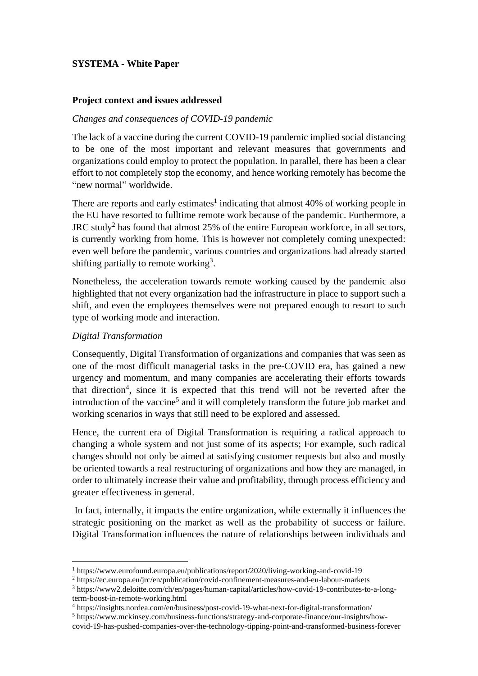# **SYSTEMA - White Paper**

### **Project context and issues addressed**

#### *Changes and consequences of COVID-19 pandemic*

The lack of a vaccine during the current COVID-19 pandemic implied social distancing to be one of the most important and relevant measures that governments and organizations could employ to protect the population. In parallel, there has been a clear effort to not completely stop the economy, and hence working remotely has become the "new normal" worldwide.

There are reports and early estimates<sup>1</sup> indicating that almost  $40\%$  of working people in the EU have resorted to fulltime remote work because of the pandemic. Furthermore, a JRC study<sup>2</sup> has found that almost 25% of the entire European workforce, in all sectors, is currently working from home. This is however not completely coming unexpected: even well before the pandemic, various countries and organizations had already started shifting partially to remote working<sup>3</sup>.

Nonetheless, the acceleration towards remote working caused by the pandemic also highlighted that not every organization had the infrastructure in place to support such a shift, and even the employees themselves were not prepared enough to resort to such type of working mode and interaction.

### *Digital Transformation*

Consequently, Digital Transformation of organizations and companies that was seen as one of the most difficult managerial tasks in the pre-COVID era, has gained a new urgency and momentum, and many companies are accelerating their efforts towards that direction<sup>4</sup>, since it is expected that this trend will not be reverted after the introduction of the vaccine<sup>5</sup> and it will completely transform the future job market and working scenarios in ways that still need to be explored and assessed.

Hence, the current era of Digital Transformation is requiring a radical approach to changing a whole system and not just some of its aspects; For example, such radical changes should not only be aimed at satisfying customer requests but also and mostly be oriented towards a real restructuring of organizations and how they are managed, in order to ultimately increase their value and profitability, through process efficiency and greater effectiveness in general.

In fact, internally, it impacts the entire organization, while externally it influences the strategic positioning on the market as well as the probability of success or failure. Digital Transformation influences the nature of relationships between individuals and

<sup>1</sup> https://www.eurofound.europa.eu/publications/report/2020/living-working-and-covid-19

<sup>2</sup> https://ec.europa.eu/jrc/en/publication/covid-confinement-measures-and-eu-labour-markets

<sup>3</sup> https://www2.deloitte.com/ch/en/pages/human-capital/articles/how-covid-19-contributes-to-a-longterm-boost-in-remote-working.html

<sup>4</sup> https://insights.nordea.com/en/business/post-covid-19-what-next-for-digital-transformation/

<sup>5</sup> https://www.mckinsey.com/business-functions/strategy-and-corporate-finance/our-insights/how-

covid-19-has-pushed-companies-over-the-technology-tipping-point-and-transformed-business-forever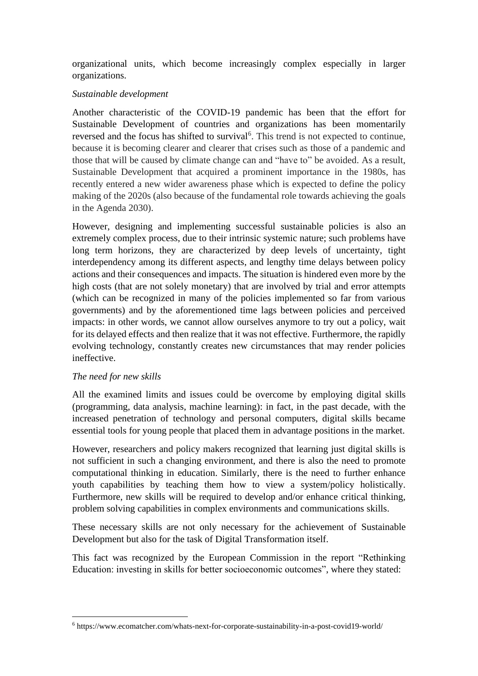organizational units, which become increasingly complex especially in larger organizations.

# *Sustainable development*

Another characteristic of the COVID-19 pandemic has been that the effort for Sustainable Development of countries and organizations has been momentarily reversed and the focus has shifted to survival<sup>6</sup>. This trend is not expected to continue, because it is becoming clearer and clearer that crises such as those of a pandemic and those that will be caused by climate change can and "have to" be avoided. As a result, Sustainable Development that acquired a prominent importance in the 1980s, has recently entered a new wider awareness phase which is expected to define the policy making of the 2020s (also because of the fundamental role towards achieving the goals in the Agenda 2030).

However, designing and implementing successful sustainable policies is also an extremely complex process, due to their intrinsic systemic nature; such problems have long term horizons, they are characterized by deep levels of uncertainty, tight interdependency among its different aspects, and lengthy time delays between policy actions and their consequences and impacts. The situation is hindered even more by the high costs (that are not solely monetary) that are involved by trial and error attempts (which can be recognized in many of the policies implemented so far from various governments) and by the aforementioned time lags between policies and perceived impacts: in other words, we cannot allow ourselves anymore to try out a policy, wait for its delayed effects and then realize that it was not effective. Furthermore, the rapidly evolving technology, constantly creates new circumstances that may render policies ineffective.

# *The need for new skills*

All the examined limits and issues could be overcome by employing digital skills (programming, data analysis, machine learning): in fact, in the past decade, with the increased penetration of technology and personal computers, digital skills became essential tools for young people that placed them in advantage positions in the market.

However, researchers and policy makers recognized that learning just digital skills is not sufficient in such a changing environment, and there is also the need to promote computational thinking in education. Similarly, there is the need to further enhance youth capabilities by teaching them how to view a system/policy holistically. Furthermore, new skills will be required to develop and/or enhance critical thinking, problem solving capabilities in complex environments and communications skills.

These necessary skills are not only necessary for the achievement of Sustainable Development but also for the task of Digital Transformation itself.

This fact was recognized by the European Commission in the report "Rethinking Education: investing in skills for better socioeconomic outcomes", where they stated:

<sup>6</sup> https://www.ecomatcher.com/whats-next-for-corporate-sustainability-in-a-post-covid19-world/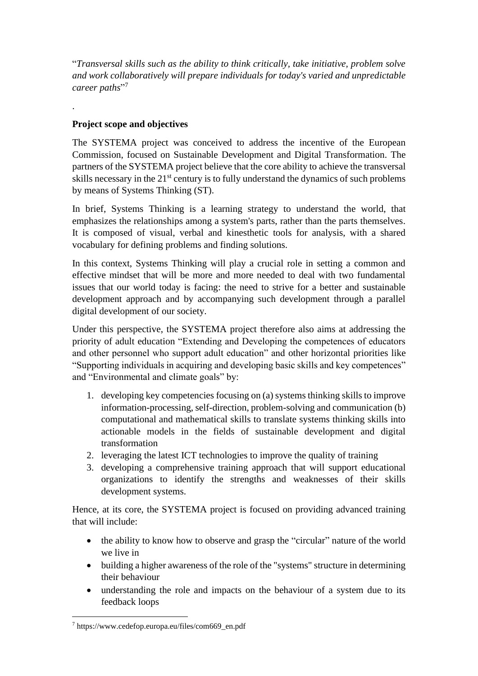"*Transversal skills such as the ability to think critically, take initiative, problem solve and work collaboratively will prepare individuals for today's varied and unpredictable career paths*" 7

# **Project scope and objectives**

.

The SYSTEMA project was conceived to address the incentive of the European Commission, focused on Sustainable Development and Digital Transformation. The partners of the SYSTEMA project believe that the core ability to achieve the transversal skills necessary in the 21<sup>st</sup> century is to fully understand the dynamics of such problems by means of Systems Thinking (ST).

In brief, Systems Thinking is a learning strategy to understand the world, that emphasizes the relationships among a system's parts, rather than the parts themselves. It is composed of visual, verbal and kinesthetic tools for analysis, with a shared vocabulary for defining problems and finding solutions.

In this context, Systems Thinking will play a crucial role in setting a common and effective mindset that will be more and more needed to deal with two fundamental issues that our world today is facing: the need to strive for a better and sustainable development approach and by accompanying such development through a parallel digital development of our society.

Under this perspective, the SYSTEMA project therefore also aims at addressing the priority of adult education "Extending and Developing the competences of educators and other personnel who support adult education" and other horizontal priorities like "Supporting individuals in acquiring and developing basic skills and key competences" and "Environmental and climate goals" by:

- 1. developing key competencies focusing on (a) systems thinking skills to improve information-processing, self-direction, problem-solving and communication (b) computational and mathematical skills to translate systems thinking skills into actionable models in the fields of sustainable development and digital transformation
- 2. leveraging the latest ICT technologies to improve the quality of training
- 3. developing a comprehensive training approach that will support educational organizations to identify the strengths and weaknesses of their skills development systems.

Hence, at its core, the SYSTEMA project is focused on providing advanced training that will include:

- the ability to know how to observe and grasp the "circular" nature of the world we live in
- building a higher awareness of the role of the "systems" structure in determining their behaviour
- understanding the role and impacts on the behaviour of a system due to its feedback loops

<sup>7</sup> https://www.cedefop.europa.eu/files/com669\_en.pdf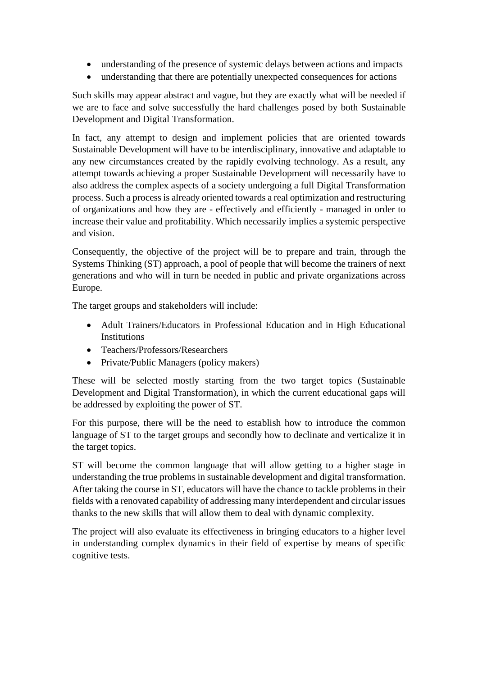- understanding of the presence of systemic delays between actions and impacts
- understanding that there are potentially unexpected consequences for actions

Such skills may appear abstract and vague, but they are exactly what will be needed if we are to face and solve successfully the hard challenges posed by both Sustainable Development and Digital Transformation.

In fact, any attempt to design and implement policies that are oriented towards Sustainable Development will have to be interdisciplinary, innovative and adaptable to any new circumstances created by the rapidly evolving technology. As a result, any attempt towards achieving a proper Sustainable Development will necessarily have to also address the complex aspects of a society undergoing a full Digital Transformation process. Such a process is already oriented towards a real optimization and restructuring of organizations and how they are - effectively and efficiently - managed in order to increase their value and profitability. Which necessarily implies a systemic perspective and vision.

Consequently, the objective of the project will be to prepare and train, through the Systems Thinking (ST) approach, a pool of people that will become the trainers of next generations and who will in turn be needed in public and private organizations across Europe.

The target groups and stakeholders will include:

- Adult Trainers/Educators in Professional Education and in High Educational **Institutions**
- Teachers/Professors/Researchers
- Private/Public Managers (policy makers)

These will be selected mostly starting from the two target topics (Sustainable Development and Digital Transformation), in which the current educational gaps will be addressed by exploiting the power of ST.

For this purpose, there will be the need to establish how to introduce the common language of ST to the target groups and secondly how to declinate and verticalize it in the target topics.

ST will become the common language that will allow getting to a higher stage in understanding the true problems in sustainable development and digital transformation. After taking the course in ST, educators will have the chance to tackle problems in their fields with a renovated capability of addressing many interdependent and circular issues thanks to the new skills that will allow them to deal with dynamic complexity.

The project will also evaluate its effectiveness in bringing educators to a higher level in understanding complex dynamics in their field of expertise by means of specific cognitive tests.